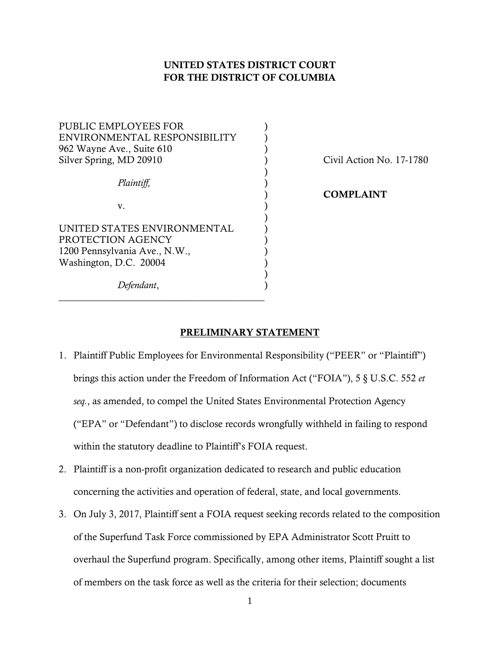# UNITED STATES DISTRICT COURT FOR THE DISTRICT OF COLUMBIA

| PUBLIC EMPLOYEES FOR          |  |
|-------------------------------|--|
| ENVIRONMENTAL RESPONSIBILITY  |  |
| 962 Wayne Ave., Suite 610     |  |
| Silver Spring, MD 20910       |  |
|                               |  |
| Plaintiff,                    |  |
|                               |  |
| v.                            |  |
|                               |  |
| UNITED STATES ENVIRONMENTAL   |  |
| PROTECTION AGENCY             |  |
| 1200 Pennsylvania Ave., N.W., |  |
| Washington, D.C. 20004        |  |
|                               |  |
| Defendant,                    |  |
|                               |  |

Civil Action No. 17-1780

# ) COMPLAINT

## PRELIMINARY STATEMENT

- 1. Plaintiff Public Employees for Environmental Responsibility ("PEER" or "Plaintiff") brings this action under the Freedom of Information Act ("FOIA"), 5 § U.S.C. 552 *et seq.*, as amended, to compel the United States Environmental Protection Agency ("EPA" or "Defendant") to disclose records wrongfully withheld in failing to respond within the statutory deadline to Plaintiff's FOIA request.
- 2. Plaintiff is a non-profit organization dedicated to research and public education concerning the activities and operation of federal, state, and local governments.
- 3. On July 3, 2017, Plaintiff sent a FOIA request seeking records related to the composition of the Superfund Task Force commissioned by EPA Administrator Scott Pruitt to overhaul the Superfund program. Specifically, among other items, Plaintiff sought a list of members on the task force as well as the criteria for their selection; documents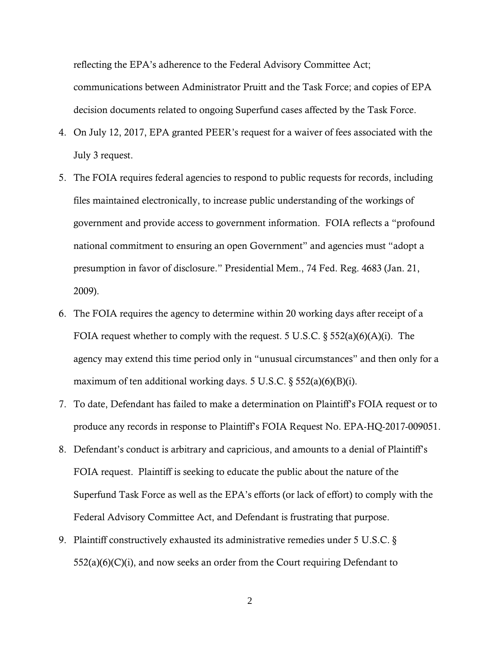reflecting the EPA's adherence to the Federal Advisory Committee Act; communications between Administrator Pruitt and the Task Force; and copies of EPA decision documents related to ongoing Superfund cases affected by the Task Force.

- 4. On July 12, 2017, EPA granted PEER's request for a waiver of fees associated with the July 3 request.
- 5. The FOIA requires federal agencies to respond to public requests for records, including files maintained electronically, to increase public understanding of the workings of government and provide access to government information. FOIA reflects a "profound national commitment to ensuring an open Government" and agencies must "adopt a presumption in favor of disclosure." Presidential Mem., 74 Fed. Reg. 4683 (Jan. 21, 2009).
- 6. The FOIA requires the agency to determine within 20 working days after receipt of a FOIA request whether to comply with the request. 5 U.S.C.  $\S$  552(a)(6)(A)(i). The agency may extend this time period only in "unusual circumstances" and then only for a maximum of ten additional working days. 5 U.S.C.  $\S$  552(a)(6)(B)(i).
- 7. To date, Defendant has failed to make a determination on Plaintiff's FOIA request or to produce any records in response to Plaintiff's FOIA Request No. EPA-HQ-2017-009051.
- 8. Defendant's conduct is arbitrary and capricious, and amounts to a denial of Plaintiff's FOIA request. Plaintiff is seeking to educate the public about the nature of the Superfund Task Force as well as the EPA's efforts (or lack of effort) to comply with the Federal Advisory Committee Act, and Defendant is frustrating that purpose.
- 9. Plaintiff constructively exhausted its administrative remedies under 5 U.S.C. §  $552(a)(6)(C)(i)$ , and now seeks an order from the Court requiring Defendant to

2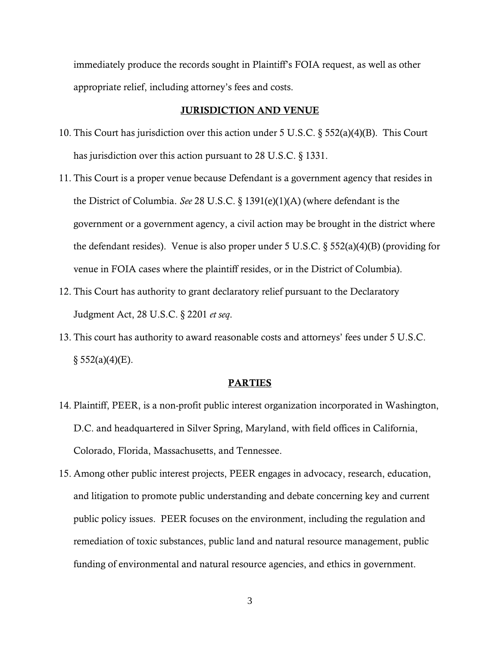immediately produce the records sought in Plaintiff's FOIA request, as well as other appropriate relief, including attorney's fees and costs.

## JURISDICTION AND VENUE

- 10. This Court has jurisdiction over this action under 5 U.S.C. § 552(a)(4)(B). This Court has jurisdiction over this action pursuant to 28 U.S.C. § 1331.
- 11. This Court is a proper venue because Defendant is a government agency that resides in the District of Columbia. *See* 28 U.S.C. § 1391(e)(1)(A) (where defendant is the government or a government agency, a civil action may be brought in the district where the defendant resides). Venue is also proper under 5 U.S.C.  $\S$  552(a)(4)(B) (providing for venue in FOIA cases where the plaintiff resides, or in the District of Columbia).
- 12. This Court has authority to grant declaratory relief pursuant to the Declaratory Judgment Act, 28 U.S.C. § 2201 *et seq*.
- 13. This court has authority to award reasonable costs and attorneys' fees under 5 U.S.C.  $§ 552(a)(4)(E).$

#### PARTIES

- 14. Plaintiff, PEER, is a non-profit public interest organization incorporated in Washington, D.C. and headquartered in Silver Spring, Maryland, with field offices in California, Colorado, Florida, Massachusetts, and Tennessee.
- 15. Among other public interest projects, PEER engages in advocacy, research, education, and litigation to promote public understanding and debate concerning key and current public policy issues. PEER focuses on the environment, including the regulation and remediation of toxic substances, public land and natural resource management, public funding of environmental and natural resource agencies, and ethics in government.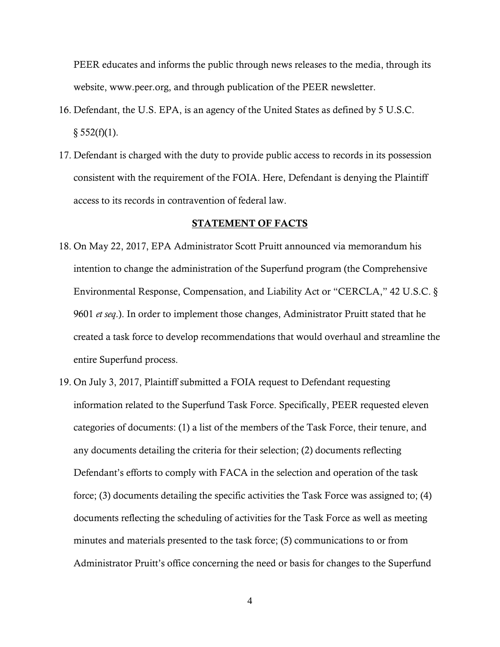PEER educates and informs the public through news releases to the media, through its website, www.peer.org, and through publication of the PEER newsletter.

- 16. Defendant, the U.S. EPA, is an agency of the United States as defined by 5 U.S.C.  $§ 552(f)(1).$
- 17. Defendant is charged with the duty to provide public access to records in its possession consistent with the requirement of the FOIA. Here, Defendant is denying the Plaintiff access to its records in contravention of federal law.

## STATEMENT OF FACTS

- 18. On May 22, 2017, EPA Administrator Scott Pruitt announced via memorandum his intention to change the administration of the Superfund program (the Comprehensive Environmental Response, Compensation, and Liability Act or "CERCLA," 42 U.S.C. § 9601 *et seq*.). In order to implement those changes, Administrator Pruitt stated that he created a task force to develop recommendations that would overhaul and streamline the entire Superfund process.
- 19. On July 3, 2017, Plaintiff submitted a FOIA request to Defendant requesting information related to the Superfund Task Force. Specifically, PEER requested eleven categories of documents: (1) a list of the members of the Task Force, their tenure, and any documents detailing the criteria for their selection; (2) documents reflecting Defendant's efforts to comply with FACA in the selection and operation of the task force; (3) documents detailing the specific activities the Task Force was assigned to; (4) documents reflecting the scheduling of activities for the Task Force as well as meeting minutes and materials presented to the task force; (5) communications to or from Administrator Pruitt's office concerning the need or basis for changes to the Superfund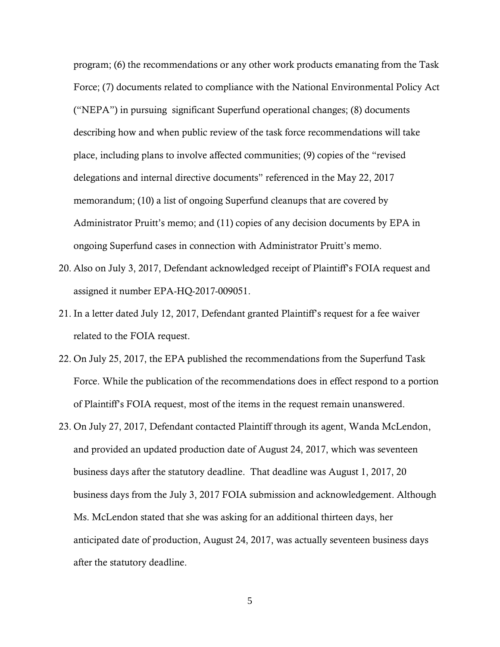program; (6) the recommendations or any other work products emanating from the Task Force; (7) documents related to compliance with the National Environmental Policy Act ("NEPA") in pursuing significant Superfund operational changes; (8) documents describing how and when public review of the task force recommendations will take place, including plans to involve affected communities; (9) copies of the "revised delegations and internal directive documents" referenced in the May 22, 2017 memorandum; (10) a list of ongoing Superfund cleanups that are covered by Administrator Pruitt's memo; and (11) copies of any decision documents by EPA in ongoing Superfund cases in connection with Administrator Pruitt's memo.

- 20. Also on July 3, 2017, Defendant acknowledged receipt of Plaintiff's FOIA request and assigned it number EPA-HQ-2017-009051.
- 21. In a letter dated July 12, 2017, Defendant granted Plaintiff's request for a fee waiver related to the FOIA request.
- 22. On July 25, 2017, the EPA published the recommendations from the Superfund Task Force. While the publication of the recommendations does in effect respond to a portion of Plaintiff's FOIA request, most of the items in the request remain unanswered.
- 23. On July 27, 2017, Defendant contacted Plaintiff through its agent, Wanda McLendon, and provided an updated production date of August 24, 2017, which was seventeen business days after the statutory deadline. That deadline was August 1, 2017, 20 business days from the July 3, 2017 FOIA submission and acknowledgement. Although Ms. McLendon stated that she was asking for an additional thirteen days, her anticipated date of production, August 24, 2017, was actually seventeen business days after the statutory deadline.

5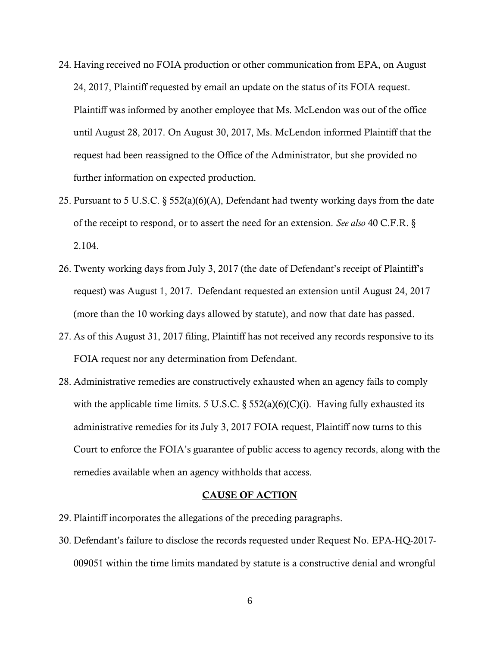- 24. Having received no FOIA production or other communication from EPA, on August 24, 2017, Plaintiff requested by email an update on the status of its FOIA request. Plaintiff was informed by another employee that Ms. McLendon was out of the office until August 28, 2017. On August 30, 2017, Ms. McLendon informed Plaintiff that the request had been reassigned to the Office of the Administrator, but she provided no further information on expected production.
- 25. Pursuant to 5 U.S.C. § 552(a)(6)(A), Defendant had twenty working days from the date of the receipt to respond, or to assert the need for an extension. *See also* 40 C.F.R. § 2.104.
- 26. Twenty working days from July 3, 2017 (the date of Defendant's receipt of Plaintiff's request) was August 1, 2017. Defendant requested an extension until August 24, 2017 (more than the 10 working days allowed by statute), and now that date has passed.
- 27. As of this August 31, 2017 filing, Plaintiff has not received any records responsive to its FOIA request nor any determination from Defendant.
- 28. Administrative remedies are constructively exhausted when an agency fails to comply with the applicable time limits. 5 U.S.C.  $\S$  552(a)(6)(C)(i). Having fully exhausted its administrative remedies for its July 3, 2017 FOIA request, Plaintiff now turns to this Court to enforce the FOIA's guarantee of public access to agency records, along with the remedies available when an agency withholds that access.

## CAUSE OF ACTION

- 29. Plaintiff incorporates the allegations of the preceding paragraphs.
- 30. Defendant's failure to disclose the records requested under Request No. EPA-HQ-2017- 009051 within the time limits mandated by statute is a constructive denial and wrongful